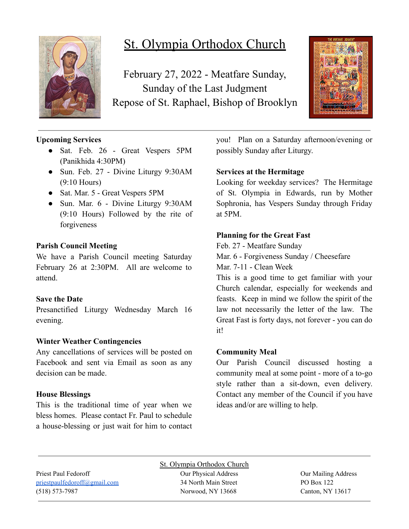

# St. Olympia Orthodox Church

February 27, 2022 - Meatfare Sunday, Sunday of the Last Judgment Repose of St. Raphael, Bishop of Brooklyn



# **Upcoming Services**

- Sat. Feb. 26 Great Vespers 5PM (Panikhida 4:30PM)
- Sun. Feb. 27 Divine Liturgy 9:30AM (9:10 Hours)
- Sat. Mar. 5 Great Vespers 5PM
- Sun. Mar. 6 Divine Liturgy 9:30AM (9:10 Hours) Followed by the rite of forgiveness

# **Parish Council Meeting**

We have a Parish Council meeting Saturday February 26 at 2:30PM. All are welcome to attend.

## **Save the Date**

Presanctified Liturgy Wednesday March 16 evening.

## **Winter Weather Contingencies**

Any cancellations of services will be posted on Facebook and sent via Email as soon as any decision can be made.

## **House Blessings**

This is the traditional time of year when we bless homes. Please contact Fr. Paul to schedule a house-blessing or just wait for him to contact you! Plan on a Saturday afternoon/evening or possibly Sunday after Liturgy.

# **Services at the Hermitage**

Looking for weekday services? The Hermitage of St. Olympia in Edwards, run by Mother Sophronia, has Vespers Sunday through Friday at 5PM.

# **Planning for the Great Fast**

Feb. 27 - Meatfare Sunday

Mar. 6 - Forgiveness Sunday / Cheesefare

Mar. 7-11 - Clean Week

This is a good time to get familiar with your Church calendar, especially for weekends and feasts. Keep in mind we follow the spirit of the law not necessarily the letter of the law. The Great Fast is forty days, not forever - you can do it!

## **Community Meal**

Our Parish Council discussed hosting a community meal at some point - more of a to-go style rather than a sit-down, even delivery. Contact any member of the Council if you have ideas and/or are willing to help.

[priestpaulfedoroff@gmail.com](mailto:priestpaulfedoroff@gmail.com) 34 North Main Street PO Box 122 (518) 573-7987 Norwood, NY 13668 Canton, NY 13617

St. Olympia Orthodox Church Priest Paul Fedoroff **Our Physical Address** Our Physical Address **Our Mailing Address**